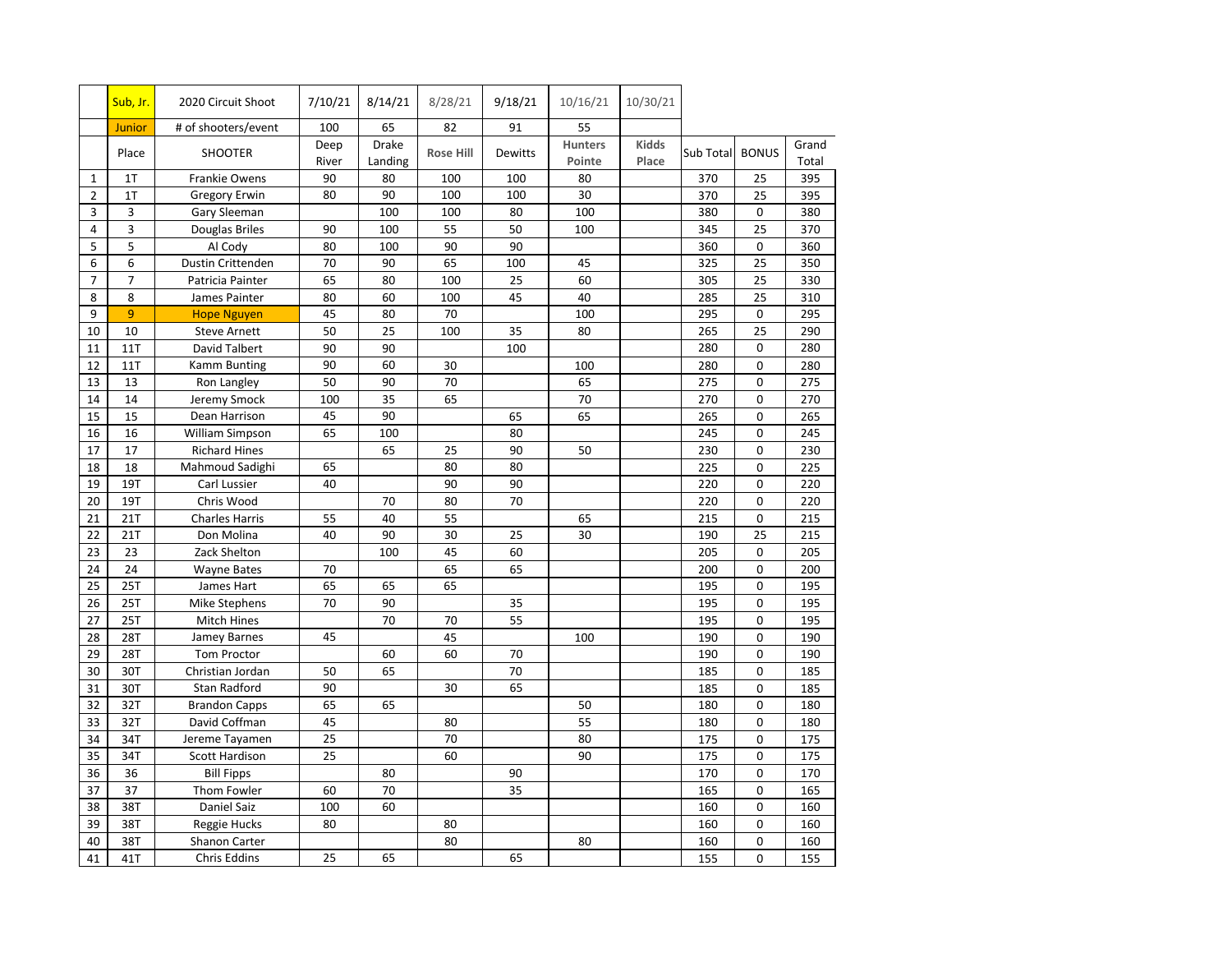|                | Sub, Jr.       | 2020 Circuit Shoot    | 7/10/21       | 8/14/21          | 8/28/21          | 9/18/21        | 10/16/21                 | 10/30/21              |           |              |                |
|----------------|----------------|-----------------------|---------------|------------------|------------------|----------------|--------------------------|-----------------------|-----------|--------------|----------------|
|                | Junior         | # of shooters/event   | 100           | 65               | 82               | 91             | 55                       |                       |           |              |                |
|                | Place          | <b>SHOOTER</b>        | Deep<br>River | Drake<br>Landing | <b>Rose Hill</b> | <b>Dewitts</b> | <b>Hunters</b><br>Pointe | <b>Kidds</b><br>Place | Sub Total | <b>BONUS</b> | Grand<br>Total |
| $\mathbf{1}$   | 1T             | Frankie Owens         | 90            | 80               | 100              | 100            | 80                       |                       | 370       | 25           | 395            |
| $\overline{2}$ | 1T             | <b>Gregory Erwin</b>  | 80            | 90               | 100              | 100            | 30                       |                       | 370       | 25           | 395            |
| 3              | 3              | Gary Sleeman          |               | 100              | 100              | 80             | 100                      |                       | 380       | $\mathbf 0$  | 380            |
| 4              | 3              | Douglas Briles        | 90            | 100              | 55               | 50             | 100                      |                       | 345       | 25           | 370            |
| 5              | 5              | Al Cody               | 80            | 100              | 90               | 90             |                          |                       | 360       | 0            | 360            |
| 6              | 6              | Dustin Crittenden     | 70            | 90               | 65               | 100            | 45                       |                       | 325       | 25           | 350            |
| $\overline{7}$ | $\overline{7}$ | Patricia Painter      | 65            | 80               | 100              | 25             | 60                       |                       | 305       | 25           | 330            |
| 8              | 8              | James Painter         | 80            | 60               | 100              | 45             | 40                       |                       | 285       | 25           | 310            |
| 9              | 9              | <b>Hope Nguyen</b>    | 45            | 80               | 70               |                | 100                      |                       | 295       | 0            | 295            |
| 10             | 10             | <b>Steve Arnett</b>   | 50            | 25               | 100              | 35             | 80                       |                       | 265       | 25           | 290            |
| 11             | 11T            | David Talbert         | 90            | 90               |                  | 100            |                          |                       | 280       | $\mathbf 0$  | 280            |
| 12             | 11T            | Kamm Bunting          | 90            | 60               | 30               |                | 100                      |                       | 280       | 0            | 280            |
| 13             | 13             | Ron Langley           | 50            | 90               | 70               |                | 65                       |                       | 275       | $\mathbf 0$  | 275            |
| 14             | 14             | Jeremy Smock          | 100           | 35               | 65               |                | 70                       |                       | 270       | 0            | 270            |
| 15             | 15             | Dean Harrison         | 45            | 90               |                  | 65             | 65                       |                       | 265       | $\mathbf 0$  | 265            |
| 16             | 16             | William Simpson       | 65            | 100              |                  | 80             |                          |                       | 245       | 0            | 245            |
| 17             | 17             | <b>Richard Hines</b>  |               | 65               | 25               | 90             | 50                       |                       | 230       | $\mathbf 0$  | 230            |
| 18             | 18             | Mahmoud Sadighi       | 65            |                  | 80               | 80             |                          |                       | 225       | $\mathbf 0$  | 225            |
| 19             | 19T            | Carl Lussier          | 40            |                  | 90               | 90             |                          |                       | 220       | 0            | 220            |
| 20             | 19T            | Chris Wood            |               | 70               | 80               | 70             |                          |                       | 220       | 0            | 220            |
| 21             | 21T            | <b>Charles Harris</b> | 55            | 40               | 55               |                | 65                       |                       | 215       | 0            | 215            |
| 22             | 21T            | Don Molina            | 40            | 90               | 30               | 25             | 30                       |                       | 190       | 25           | 215            |
| 23             | 23             | Zack Shelton          |               | 100              | 45               | 60             |                          |                       | 205       | $\mathbf 0$  | 205            |
| 24             | 24             | <b>Wayne Bates</b>    | 70            |                  | 65               | 65             |                          |                       | 200       | 0            | 200            |
| 25             | 25T            | James Hart            | 65            | 65               | 65               |                |                          |                       | 195       | 0            | 195            |
| 26             | 25T            | Mike Stephens         | 70            | 90               |                  | 35             |                          |                       | 195       | 0            | 195            |
| 27             | 25T            | Mitch Hines           |               | 70               | 70               | 55             |                          |                       | 195       | 0            | 195            |
| 28             | 28T            | Jamey Barnes          | 45            |                  | 45               |                | 100                      |                       | 190       | 0            | 190            |
| 29             | 28T            | Tom Proctor           |               | 60               | 60               | 70             |                          |                       | 190       | 0            | 190            |
| 30             | 30T            | Christian Jordan      | 50            | 65               |                  | 70             |                          |                       | 185       | $\mathbf 0$  | 185            |
| 31             | 30T            | Stan Radford          | 90            |                  | 30               | 65             |                          |                       | 185       | $\mathbf 0$  | 185            |
| 32             | 32T            | <b>Brandon Capps</b>  | 65            | 65               |                  |                | 50                       |                       | 180       | 0            | 180            |
| 33             | 32T            | David Coffman         | 45            |                  | 80               |                | 55                       |                       | 180       | 0            | 180            |
| 34             | 34T            | Jereme Tayamen        | 25            |                  | 70               |                | 80                       |                       | 175       | 0            | 175            |
| 35             | 34T            | Scott Hardison        | 25            |                  | 60               |                | 90                       |                       | 175       | 0            | 175            |
| 36             | 36             | <b>Bill Fipps</b>     |               | 80               |                  | 90             |                          |                       | 170       | 0            | 170            |
| 37             | 37             | Thom Fowler           | 60            | 70               |                  | 35             |                          |                       | 165       | 0            | 165            |
| 38             | 38T            | Daniel Saiz           | 100           | 60               |                  |                |                          |                       | 160       | $\mathbf 0$  | 160            |
| 39             | 38T            | Reggie Hucks          | 80            |                  | 80               |                |                          |                       | 160       | $\mathbf 0$  | 160            |
| 40             | 38T            | Shanon Carter         |               |                  | 80               |                | 80                       |                       | 160       | $\Omega$     | 160            |
| 41             | 41T            | Chris Eddins          | 25            | 65               |                  | 65             |                          |                       | 155       | 0            | 155            |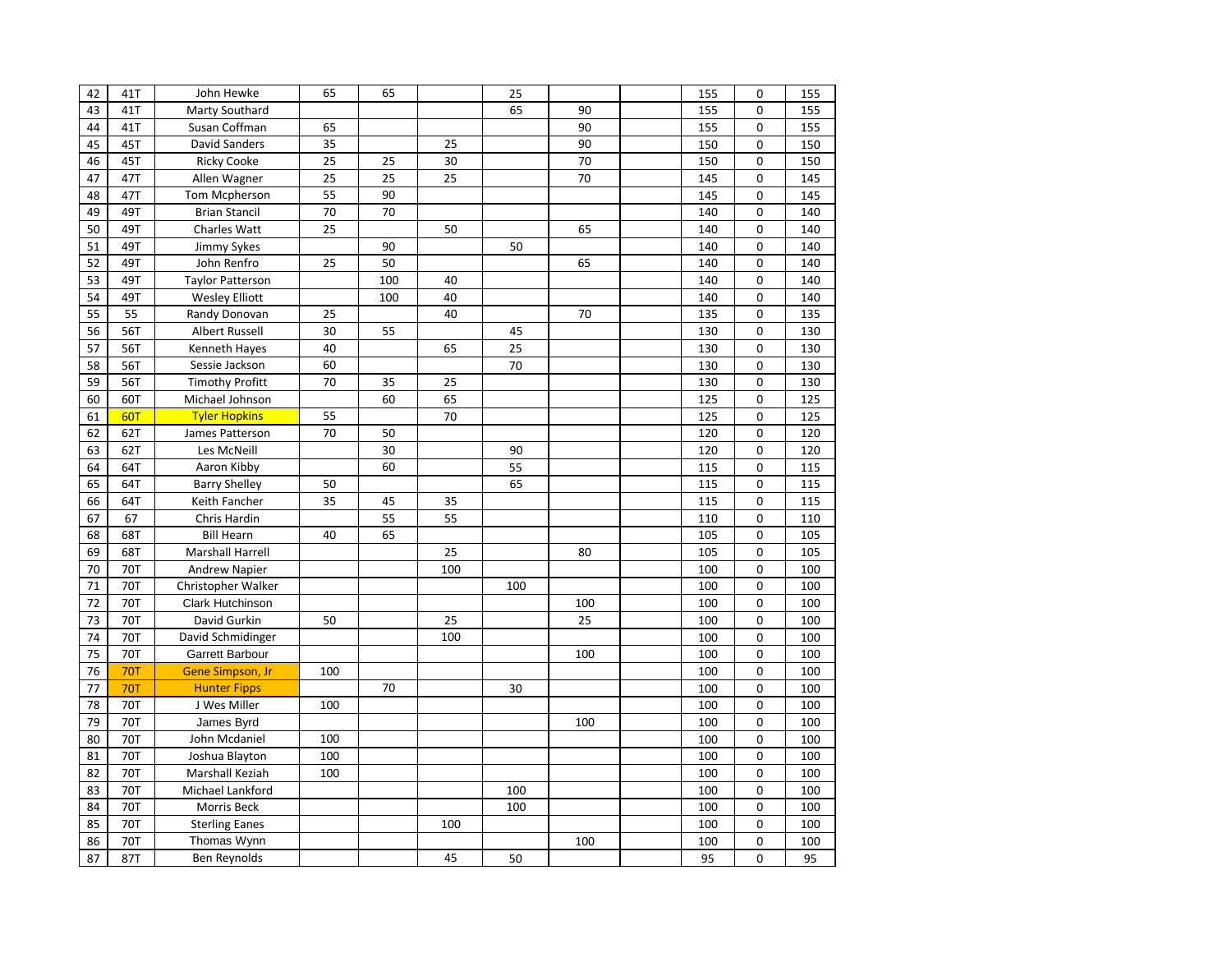| 42 | 41T        | John Hewke              | 65  | 65  |     | 25  |     | 155 | 0                | 155 |
|----|------------|-------------------------|-----|-----|-----|-----|-----|-----|------------------|-----|
| 43 | 41T        | Marty Southard          |     |     |     | 65  | 90  | 155 | $\mathbf 0$      | 155 |
| 44 | 41T        | Susan Coffman           | 65  |     |     |     | 90  | 155 | 0                | 155 |
| 45 | 45T        | <b>David Sanders</b>    | 35  |     | 25  |     | 90  | 150 | $\mathbf 0$      | 150 |
| 46 | 45T        | <b>Ricky Cooke</b>      | 25  | 25  | 30  |     | 70  | 150 | $\mathbf 0$      | 150 |
| 47 | 47T        | Allen Wagner            | 25  | 25  | 25  |     | 70  | 145 | $\mathbf 0$      | 145 |
| 48 | 47T        | Tom Mcpherson           | 55  | 90  |     |     |     | 145 | $\mathbf 0$      | 145 |
| 49 | 49T        | <b>Brian Stancil</b>    | 70  | 70  |     |     |     | 140 | $\mathbf 0$      | 140 |
| 50 | 49T        | Charles Watt            | 25  |     | 50  |     | 65  | 140 | $\mathbf 0$      | 140 |
| 51 | 49T        | Jimmy Sykes             |     | 90  |     | 50  |     | 140 | $\mathbf 0$      | 140 |
| 52 | 49T        | John Renfro             | 25  | 50  |     |     | 65  | 140 | $\mathbf 0$      | 140 |
| 53 | 49T        | <b>Taylor Patterson</b> |     | 100 | 40  |     |     | 140 | $\mathbf 0$      | 140 |
| 54 | 49T        | <b>Wesley Elliott</b>   |     | 100 | 40  |     |     | 140 | $\mathbf 0$      | 140 |
| 55 | 55         | Randy Donovan           | 25  |     | 40  |     | 70  | 135 | $\mathbf 0$      | 135 |
| 56 | 56T        | <b>Albert Russell</b>   | 30  | 55  |     | 45  |     | 130 | $\mathbf 0$      | 130 |
| 57 | 56T        | Kenneth Hayes           | 40  |     | 65  | 25  |     | 130 | 0                | 130 |
| 58 | 56T        | Sessie Jackson          | 60  |     |     | 70  |     | 130 | $\boldsymbol{0}$ | 130 |
| 59 | 56T        | <b>Timothy Profitt</b>  | 70  | 35  | 25  |     |     | 130 | $\mathbf 0$      | 130 |
| 60 | 60T        | Michael Johnson         |     | 60  | 65  |     |     | 125 | $\mathbf 0$      | 125 |
| 61 | 60T        | <b>Tyler Hopkins</b>    | 55  |     | 70  |     |     | 125 | $\mathbf 0$      | 125 |
| 62 | 62T        | James Patterson         | 70  | 50  |     |     |     | 120 | $\mathbf 0$      | 120 |
| 63 | 62T        | Les McNeill             |     | 30  |     | 90  |     | 120 | 0                | 120 |
| 64 | 64T        | Aaron Kibby             |     | 60  |     | 55  |     | 115 | $\mathbf 0$      | 115 |
| 65 | 64T        | <b>Barry Shelley</b>    | 50  |     |     | 65  |     | 115 | $\mathbf 0$      | 115 |
| 66 | 64T        | Keith Fancher           | 35  | 45  | 35  |     |     | 115 | $\mathbf 0$      | 115 |
| 67 | 67         | Chris Hardin            |     | 55  | 55  |     |     | 110 | 0                | 110 |
| 68 | 68T        | <b>Bill Hearn</b>       | 40  | 65  |     |     |     | 105 | 0                | 105 |
| 69 | 68T        | <b>Marshall Harrell</b> |     |     | 25  |     | 80  | 105 | $\mathbf 0$      | 105 |
| 70 | <b>70T</b> | <b>Andrew Napier</b>    |     |     | 100 |     |     | 100 | $\mathbf 0$      | 100 |
| 71 | 70T        | Christopher Walker      |     |     |     | 100 |     | 100 | $\mathbf 0$      | 100 |
| 72 | <b>70T</b> | Clark Hutchinson        |     |     |     |     | 100 | 100 | $\mathbf 0$      | 100 |
| 73 | 70T        | David Gurkin            | 50  |     | 25  |     | 25  | 100 | $\mathbf 0$      | 100 |
| 74 | <b>70T</b> | David Schmidinger       |     |     | 100 |     |     | 100 | $\mathbf 0$      | 100 |
| 75 | <b>70T</b> | <b>Garrett Barbour</b>  |     |     |     |     | 100 | 100 | $\mathbf 0$      | 100 |
| 76 | <b>70T</b> | Gene Simpson, Jr        | 100 |     |     |     |     | 100 | $\mathbf 0$      | 100 |
| 77 | <b>70T</b> | <b>Hunter Fipps</b>     |     | 70  |     | 30  |     | 100 | $\mathbf 0$      | 100 |
| 78 | 70T        | J Wes Miller            | 100 |     |     |     |     | 100 | $\mathbf 0$      | 100 |
| 79 | 70T        | James Byrd              |     |     |     |     | 100 | 100 | $\mathbf 0$      | 100 |
| 80 | 70T        | John Mcdaniel           | 100 |     |     |     |     | 100 | $\mathbf 0$      | 100 |
| 81 | 70T        | Joshua Blayton          | 100 |     |     |     |     | 100 | $\mathbf 0$      | 100 |
| 82 | 70T        | Marshall Keziah         | 100 |     |     |     |     | 100 | $\mathbf 0$      | 100 |
| 83 | <b>70T</b> | Michael Lankford        |     |     |     | 100 |     | 100 | $\mathbf 0$      | 100 |
| 84 | 70T        | Morris Beck             |     |     |     | 100 |     | 100 | $\mathbf 0$      | 100 |
| 85 | <b>70T</b> | <b>Sterling Eanes</b>   |     |     | 100 |     |     | 100 | $\mathbf 0$      | 100 |
| 86 | <b>70T</b> | Thomas Wynn             |     |     |     |     | 100 | 100 | $\mathbf 0$      | 100 |
| 87 | 87T        | Ben Reynolds            |     |     | 45  | 50  |     | 95  | $\Omega$         | 95  |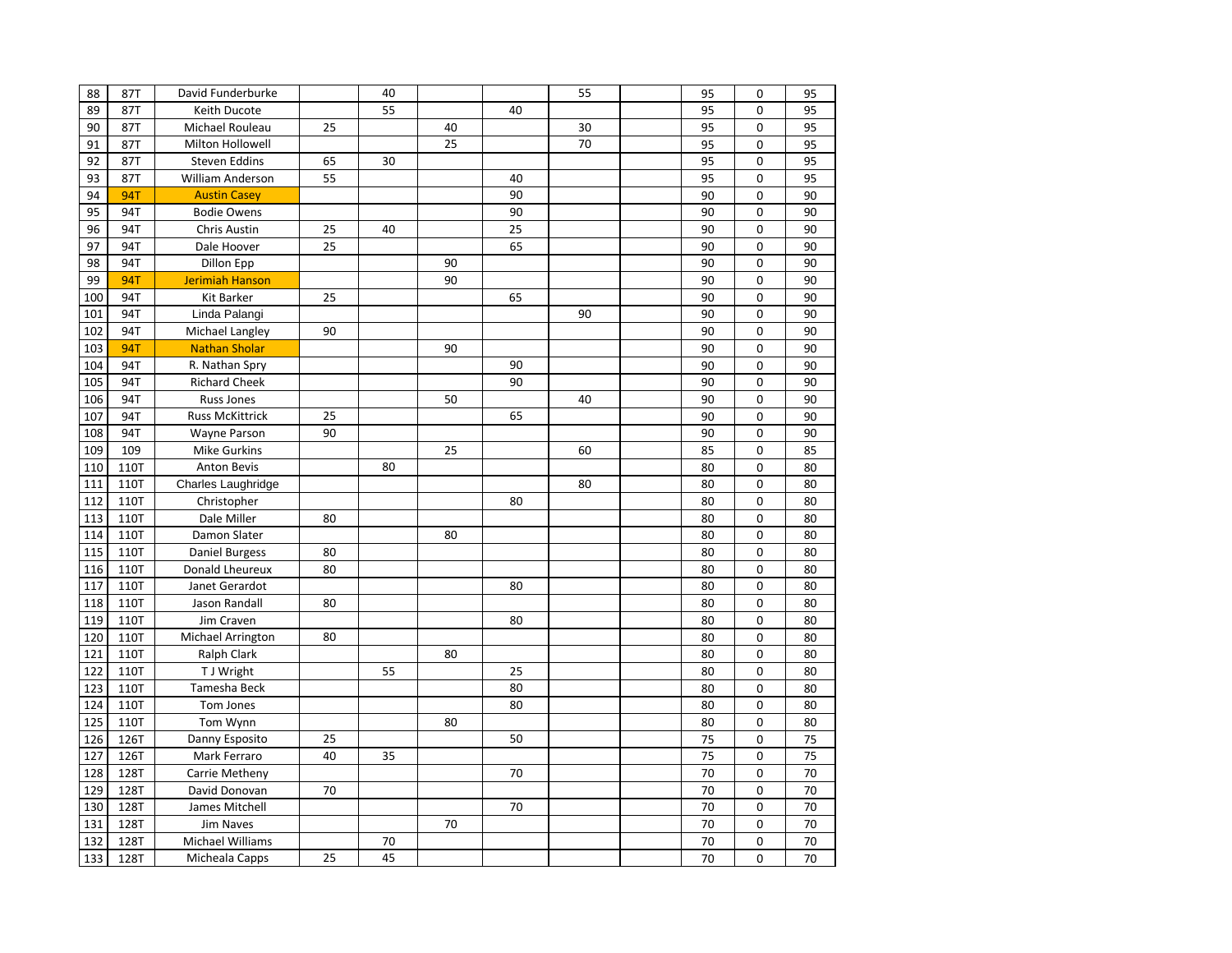| 88  | 87T         | David Funderburke      |    | 40 |    |    | 55 | 95 | 0              | 95 |
|-----|-------------|------------------------|----|----|----|----|----|----|----------------|----|
| 89  | 87T         | Keith Ducote           |    | 55 |    | 40 |    | 95 | $\mathbf 0$    | 95 |
| 90  | 87T         | Michael Rouleau        | 25 |    | 40 |    | 30 | 95 | $\mathbf 0$    | 95 |
| 91  | 87T         | Milton Hollowell       |    |    | 25 |    | 70 | 95 | $\Omega$       | 95 |
| 92  | 87T         | Steven Eddins          | 65 | 30 |    |    |    | 95 | $\mathbf 0$    | 95 |
| 93  | 87T         | William Anderson       | 55 |    |    | 40 |    | 95 | 0              | 95 |
| 94  | <b>94T</b>  | <b>Austin Casey</b>    |    |    |    | 90 |    | 90 | $\mathbf 0$    | 90 |
| 95  | 94T         | <b>Bodie Owens</b>     |    |    |    | 90 |    | 90 | $\mathbf 0$    | 90 |
| 96  | 94T         | Chris Austin           | 25 | 40 |    | 25 |    | 90 | $\mathbf 0$    | 90 |
| 97  | 94T         | Dale Hoover            | 25 |    |    | 65 |    | 90 | $\mathbf 0$    | 90 |
| 98  | 94T         | <b>Dillon Epp</b>      |    |    | 90 |    |    | 90 | 0              | 90 |
| 99  | <b>94T</b>  | <b>Jerimiah Hanson</b> |    |    | 90 |    |    | 90 | $\mathbf 0$    | 90 |
| 100 | 94T         | Kit Barker             | 25 |    |    | 65 |    | 90 | $\mathbf 0$    | 90 |
| 101 | 94T         | Linda Palangi          |    |    |    |    | 90 | 90 | $\mathbf 0$    | 90 |
| 102 | 94T         | Michael Langley        | 90 |    |    |    |    | 90 | $\overline{0}$ | 90 |
| 103 | <b>94T</b>  | <b>Nathan Sholar</b>   |    |    | 90 |    |    | 90 | $\mathbf 0$    | 90 |
| 104 | 94T         | R. Nathan Spry         |    |    |    | 90 |    | 90 | $\mathbf 0$    | 90 |
| 105 | 94T         | <b>Richard Cheek</b>   |    |    |    | 90 |    | 90 | $\mathbf 0$    | 90 |
| 106 | 94T         | <b>Russ Jones</b>      |    |    | 50 |    | 40 | 90 | 0              | 90 |
| 107 | 94T         | <b>Russ McKittrick</b> | 25 |    |    | 65 |    | 90 | $\overline{0}$ | 90 |
| 108 | 94T         | Wayne Parson           | 90 |    |    |    |    | 90 | $\Omega$       | 90 |
| 109 | 109         | Mike Gurkins           |    |    | 25 |    | 60 | 85 | $\mathbf 0$    | 85 |
| 110 | <b>110T</b> | <b>Anton Bevis</b>     |    | 80 |    |    |    | 80 | $\mathbf 0$    | 80 |
| 111 | 110T        | Charles Laughridge     |    |    |    |    | 80 | 80 | $\mathbf 0$    | 80 |
| 112 | 110T        | Christopher            |    |    |    | 80 |    | 80 | $\overline{0}$ | 80 |
| 113 | 110T        | Dale Miller            | 80 |    |    |    |    | 80 | 0              | 80 |
| 114 | 110T        | Damon Slater           |    |    | 80 |    |    | 80 | 0              | 80 |
| 115 | <b>110T</b> | Daniel Burgess         | 80 |    |    |    |    | 80 | $\overline{0}$ | 80 |
| 116 | <b>110T</b> | Donald Lheureux        | 80 |    |    |    |    | 80 | $\overline{0}$ | 80 |
| 117 | <b>110T</b> | Janet Gerardot         |    |    |    | 80 |    | 80 | $\mathbf 0$    | 80 |
| 118 | <b>110T</b> | Jason Randall          | 80 |    |    |    |    | 80 | 0              | 80 |
| 119 | 110T        | Jim Craven             |    |    |    | 80 |    | 80 | 0              | 80 |
| 120 | 110T        | Michael Arrington      | 80 |    |    |    |    | 80 | $\mathbf 0$    | 80 |
| 121 | <b>110T</b> | <b>Ralph Clark</b>     |    |    | 80 |    |    | 80 | $\mathbf 0$    | 80 |
| 122 | 110T        | T J Wright             |    | 55 |    | 25 |    | 80 | $\mathbf 0$    | 80 |
| 123 | 110T        | Tamesha Beck           |    |    |    | 80 |    | 80 | 0              | 80 |
| 124 | 110T        | Tom Jones              |    |    |    | 80 |    | 80 | $\mathbf 0$    | 80 |
| 125 | 110T        | Tom Wynn               |    |    | 80 |    |    | 80 | $\mathbf 0$    | 80 |
| 126 | 126T        | Danny Esposito         | 25 |    |    | 50 |    | 75 | $\mathbf 0$    | 75 |
| 127 | 126T        | Mark Ferraro           | 40 | 35 |    |    |    | 75 | $\mathbf 0$    | 75 |
| 128 | 128T        | Carrie Metheny         |    |    |    | 70 |    | 70 | $\Omega$       | 70 |
| 129 | 128T        | David Donovan          | 70 |    |    |    |    | 70 | 0              | 70 |
| 130 | 128T        | James Mitchell         |    |    |    | 70 |    | 70 | $\mathbf 0$    | 70 |
| 131 | 128T        | <b>Jim Naves</b>       |    |    | 70 |    |    | 70 | 0              | 70 |
| 132 | 128T        | Michael Williams       |    | 70 |    |    |    | 70 | $\mathbf 0$    | 70 |
| 133 | 128T        | Micheala Capps         | 25 | 45 |    |    |    | 70 | $\Omega$       | 70 |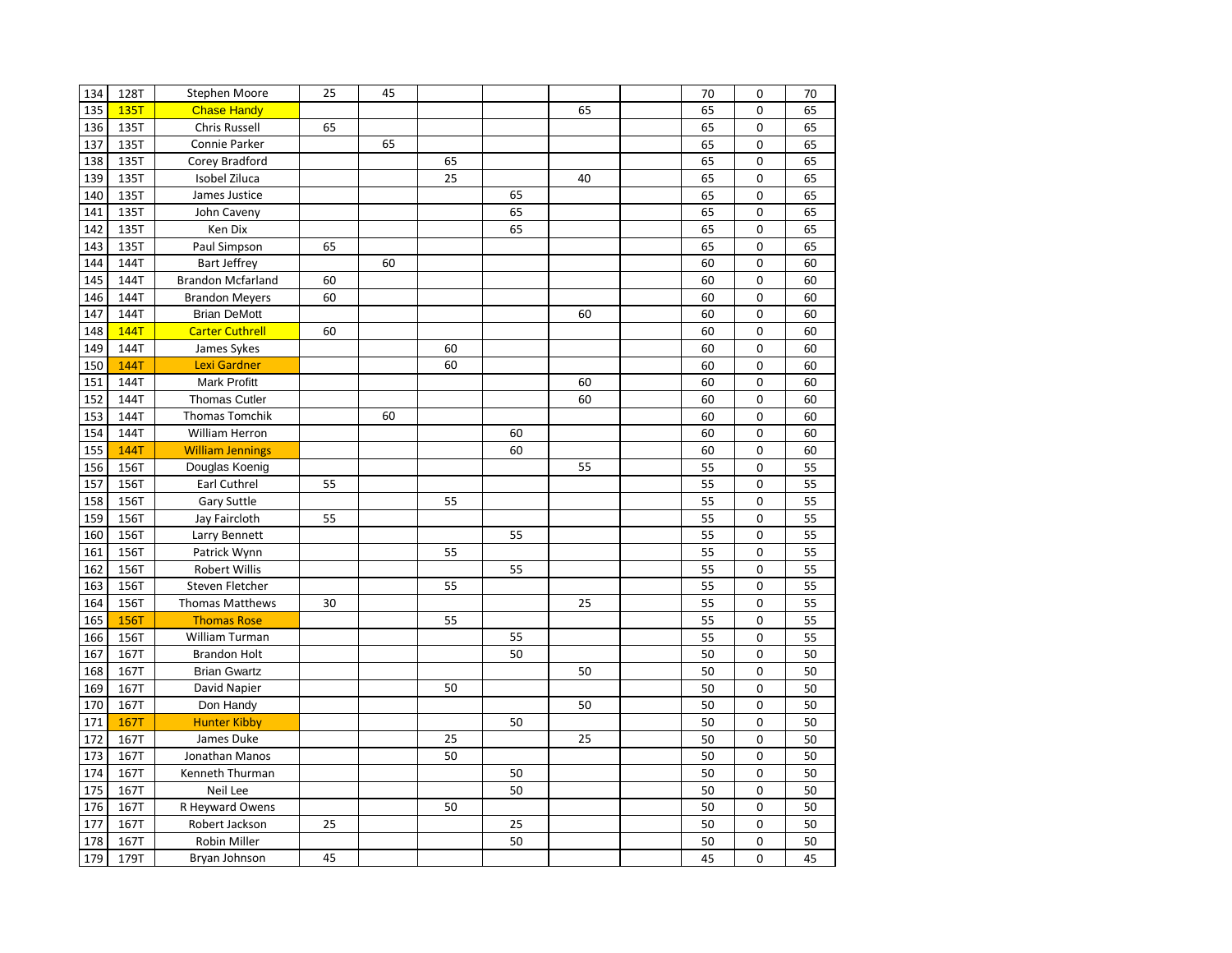| 134 | 128T        | Stephen Moore            | 25 | 45 |    |    |    | 70 | 0              | 70 |
|-----|-------------|--------------------------|----|----|----|----|----|----|----------------|----|
| 135 | 135T        | <b>Chase Handy</b>       |    |    |    |    | 65 | 65 | $\mathbf 0$    | 65 |
| 136 | 135T        | <b>Chris Russell</b>     | 65 |    |    |    |    | 65 | 0              | 65 |
| 137 | 135T        | Connie Parker            |    | 65 |    |    |    | 65 | $\mathbf 0$    | 65 |
| 138 | 135T        | Corey Bradford           |    |    | 65 |    |    | 65 | $\mathbf 0$    | 65 |
| 139 | 135T        | Isobel Ziluca            |    |    | 25 |    | 40 | 65 | $\mathbf 0$    | 65 |
| 140 | 135T        | James Justice            |    |    |    | 65 |    | 65 | 0              | 65 |
| 141 | 135T        | John Caveny              |    |    |    | 65 |    | 65 | $\mathbf 0$    | 65 |
| 142 | 135T        | Ken Dix                  |    |    |    | 65 |    | 65 | $\mathbf 0$    | 65 |
| 143 | 135T        | Paul Simpson             | 65 |    |    |    |    | 65 | $\mathbf 0$    | 65 |
| 144 | 144T        | <b>Bart Jeffrey</b>      |    | 60 |    |    |    | 60 | 0              | 60 |
| 145 | 144T        | <b>Brandon Mcfarland</b> | 60 |    |    |    |    | 60 | $\mathbf 0$    | 60 |
| 146 | 144T        | <b>Brandon Meyers</b>    | 60 |    |    |    |    | 60 | $\mathbf 0$    | 60 |
| 147 | 144T        | <b>Brian DeMott</b>      |    |    |    |    | 60 | 60 | $\mathbf 0$    | 60 |
| 148 | <b>144T</b> | <b>Carter Cuthrell</b>   | 60 |    |    |    |    | 60 | $\mathbf 0$    | 60 |
| 149 | 144T        | James Sykes              |    |    | 60 |    |    | 60 | 0              | 60 |
| 150 | <b>144T</b> | Lexi Gardner             |    |    | 60 |    |    | 60 | $\mathbf 0$    | 60 |
| 151 | 144T        | <b>Mark Profitt</b>      |    |    |    |    | 60 | 60 | $\mathbf 0$    | 60 |
| 152 | 144T        | <b>Thomas Cutler</b>     |    |    |    |    | 60 | 60 | $\mathbf 0$    | 60 |
| 153 | 144T        | <b>Thomas Tomchik</b>    |    | 60 |    |    |    | 60 | $\overline{0}$ | 60 |
| 154 | 144T        | William Herron           |    |    |    | 60 |    | 60 | $\Omega$       | 60 |
| 155 | 144T        | <b>William Jennings</b>  |    |    |    | 60 |    | 60 | 0              | 60 |
| 156 | 156T        | Douglas Koenig           |    |    |    |    | 55 | 55 | $\mathbf 0$    | 55 |
| 157 | 156T        | Earl Cuthrel             | 55 |    |    |    |    | 55 | $\mathbf 0$    | 55 |
| 158 | 156T        | <b>Gary Suttle</b>       |    |    | 55 |    |    | 55 | $\Omega$       | 55 |
| 159 | 156T        | Jay Faircloth            | 55 |    |    |    |    | 55 | 0              | 55 |
| 160 | 156T        | Larry Bennett            |    |    |    | 55 |    | 55 | $\mathbf 0$    | 55 |
| 161 | 156T        | Patrick Wynn             |    |    | 55 |    |    | 55 | 0              | 55 |
| 162 | 156T        | <b>Robert Willis</b>     |    |    |    | 55 |    | 55 | $\mathbf 0$    | 55 |
| 163 | 156T        | Steven Fletcher          |    |    | 55 |    |    | 55 | $\mathbf 0$    | 55 |
| 164 | 156T        | <b>Thomas Matthews</b>   | 30 |    |    |    | 25 | 55 | $\mathbf 0$    | 55 |
| 165 | <b>156T</b> | <b>Thomas Rose</b>       |    |    | 55 |    |    | 55 | 0              | 55 |
| 166 | 156T        | William Turman           |    |    |    | 55 |    | 55 | $\mathbf 0$    | 55 |
| 167 | 167T        | <b>Brandon Holt</b>      |    |    |    | 50 |    | 50 | $\mathbf 0$    | 50 |
| 168 | 167T        | <b>Brian Gwartz</b>      |    |    |    |    | 50 | 50 | $\mathbf 0$    | 50 |
| 169 | 167T        | David Napier             |    |    | 50 |    |    | 50 | $\overline{0}$ | 50 |
| 170 | 167T        | Don Handy                |    |    |    |    | 50 | 50 | $\mathbf 0$    | 50 |
| 171 | <b>167T</b> | <b>Hunter Kibby</b>      |    |    |    | 50 |    | 50 | $\mathbf 0$    | 50 |
| 172 | 167T        | James Duke               |    |    | 25 |    | 25 | 50 | $\mathbf 0$    | 50 |
| 173 | 167T        | Jonathan Manos           |    |    | 50 |    |    | 50 | $\mathbf 0$    | 50 |
| 174 | 167T        | Kenneth Thurman          |    |    |    | 50 |    | 50 | $\mathbf 0$    | 50 |
| 175 | 167T        | Neil Lee                 |    |    |    | 50 |    | 50 | $\mathbf 0$    | 50 |
| 176 | 167T        | R Heyward Owens          |    |    | 50 |    |    | 50 | $\mathbf 0$    | 50 |
| 177 | 167T        | Robert Jackson           | 25 |    |    | 25 |    | 50 | $\mathbf 0$    | 50 |
| 178 | 167T        | Robin Miller             |    |    |    | 50 |    | 50 | $\mathbf 0$    | 50 |
| 179 | 179T        | Bryan Johnson            | 45 |    |    |    |    | 45 | $\Omega$       | 45 |